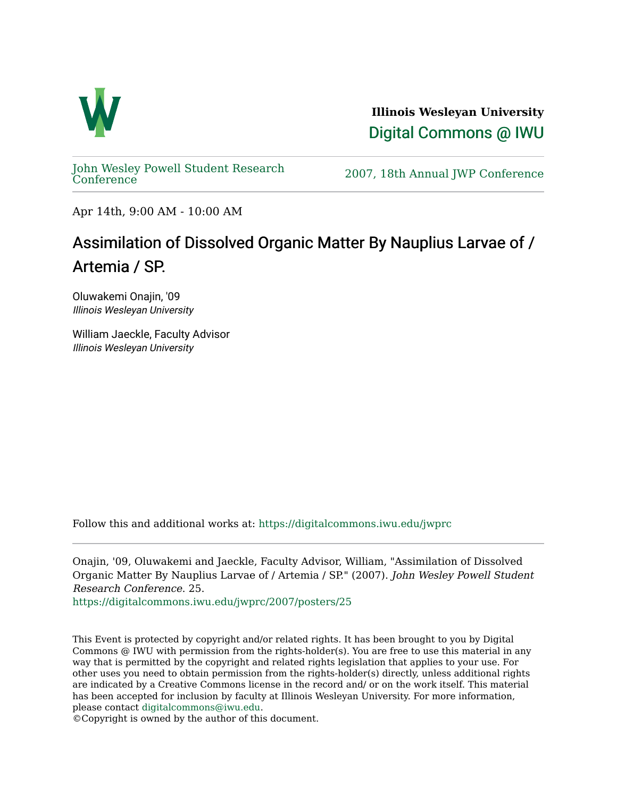

**Illinois Wesleyan University**  [Digital Commons @ IWU](https://digitalcommons.iwu.edu/) 

[John Wesley Powell Student Research](https://digitalcommons.iwu.edu/jwprc) 

2007, 18th Annual JWP [Conference](https://digitalcommons.iwu.edu/jwprc)

Apr 14th, 9:00 AM - 10:00 AM

## Assimilation of Dissolved Organic Matter By Nauplius Larvae of / Artemia / SP.

Oluwakemi Onajin, '09 Illinois Wesleyan University

William Jaeckle, Faculty Advisor Illinois Wesleyan University

Follow this and additional works at: [https://digitalcommons.iwu.edu/jwprc](https://digitalcommons.iwu.edu/jwprc?utm_source=digitalcommons.iwu.edu%2Fjwprc%2F2007%2Fposters%2F25&utm_medium=PDF&utm_campaign=PDFCoverPages) 

Onajin, '09, Oluwakemi and Jaeckle, Faculty Advisor, William, "Assimilation of Dissolved Organic Matter By Nauplius Larvae of / Artemia / SP." (2007). John Wesley Powell Student Research Conference. 25.

[https://digitalcommons.iwu.edu/jwprc/2007/posters/25](https://digitalcommons.iwu.edu/jwprc/2007/posters/25?utm_source=digitalcommons.iwu.edu%2Fjwprc%2F2007%2Fposters%2F25&utm_medium=PDF&utm_campaign=PDFCoverPages)

This Event is protected by copyright and/or related rights. It has been brought to you by Digital Commons @ IWU with permission from the rights-holder(s). You are free to use this material in any way that is permitted by the copyright and related rights legislation that applies to your use. For other uses you need to obtain permission from the rights-holder(s) directly, unless additional rights are indicated by a Creative Commons license in the record and/ or on the work itself. This material has been accepted for inclusion by faculty at Illinois Wesleyan University. For more information, please contact [digitalcommons@iwu.edu.](mailto:digitalcommons@iwu.edu)

©Copyright is owned by the author of this document.